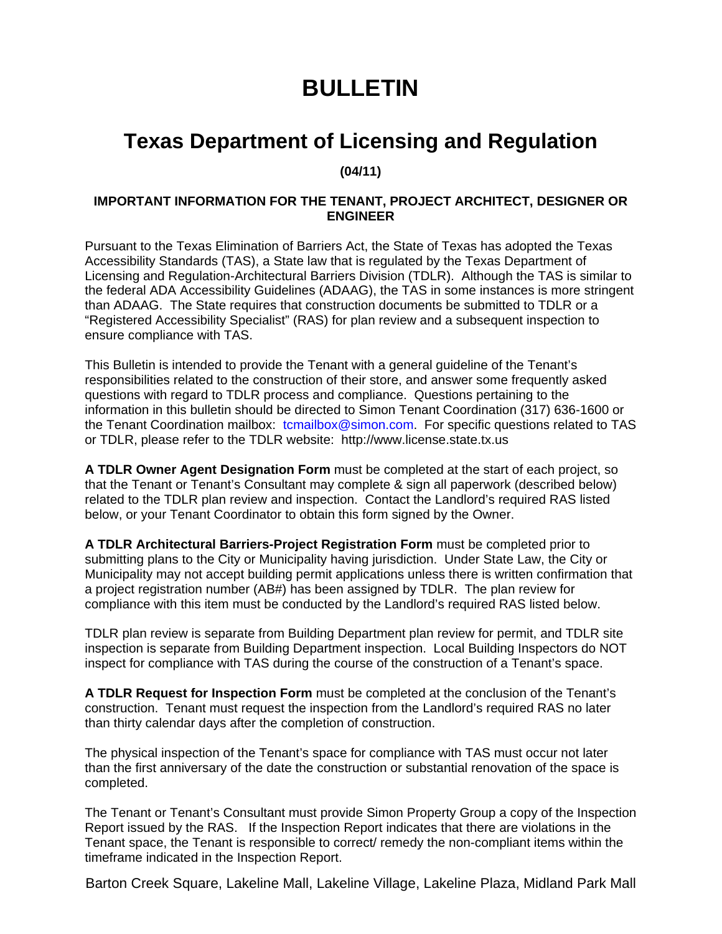## **BULLETIN**

## **Texas Department of Licensing and Regulation**

**(04/11)** 

## **IMPORTANT INFORMATION FOR THE TENANT, PROJECT ARCHITECT, DESIGNER OR ENGINEER**

Pursuant to the Texas Elimination of Barriers Act, the State of Texas has adopted the Texas Accessibility Standards (TAS), a State law that is regulated by the Texas Department of Licensing and Regulation-Architectural Barriers Division (TDLR). Although the TAS is similar to the federal ADA Accessibility Guidelines (ADAAG), the TAS in some instances is more stringent than ADAAG. The State requires that construction documents be submitted to TDLR or a "Registered Accessibility Specialist" (RAS) for plan review and a subsequent inspection to ensure compliance with TAS.

This Bulletin is intended to provide the Tenant with a general guideline of the Tenant's responsibilities related to the construction of their store, and answer some frequently asked questions with regard to TDLR process and compliance. Questions pertaining to the information in this bulletin should be directed to Simon Tenant Coordination (317) 636-1600 or the Tenant Coordination mailbox: tcmailbox@simon.com. For specific questions related to TAS or TDLR, please refer to the TDLR website: http://www.license.state.tx.us

**A TDLR Owner Agent Designation Form** must be completed at the start of each project, so that the Tenant or Tenant's Consultant may complete & sign all paperwork (described below) related to the TDLR plan review and inspection. Contact the Landlord's required RAS listed below, or your Tenant Coordinator to obtain this form signed by the Owner.

**A TDLR Architectural Barriers-Project Registration Form** must be completed prior to submitting plans to the City or Municipality having jurisdiction. Under State Law, the City or Municipality may not accept building permit applications unless there is written confirmation that a project registration number (AB#) has been assigned by TDLR. The plan review for compliance with this item must be conducted by the Landlord's required RAS listed below.

TDLR plan review is separate from Building Department plan review for permit, and TDLR site inspection is separate from Building Department inspection. Local Building Inspectors do NOT inspect for compliance with TAS during the course of the construction of a Tenant's space.

**A TDLR Request for Inspection Form** must be completed at the conclusion of the Tenant's construction. Tenant must request the inspection from the Landlord's required RAS no later than thirty calendar days after the completion of construction.

The physical inspection of the Tenant's space for compliance with TAS must occur not later than the first anniversary of the date the construction or substantial renovation of the space is completed.

The Tenant or Tenant's Consultant must provide Simon Property Group a copy of the Inspection Report issued by the RAS. If the Inspection Report indicates that there are violations in the Tenant space, the Tenant is responsible to correct/ remedy the non-compliant items within the timeframe indicated in the Inspection Report.

Barton Creek Square, Lakeline Mall, Lakeline Village, Lakeline Plaza, Midland Park Mall